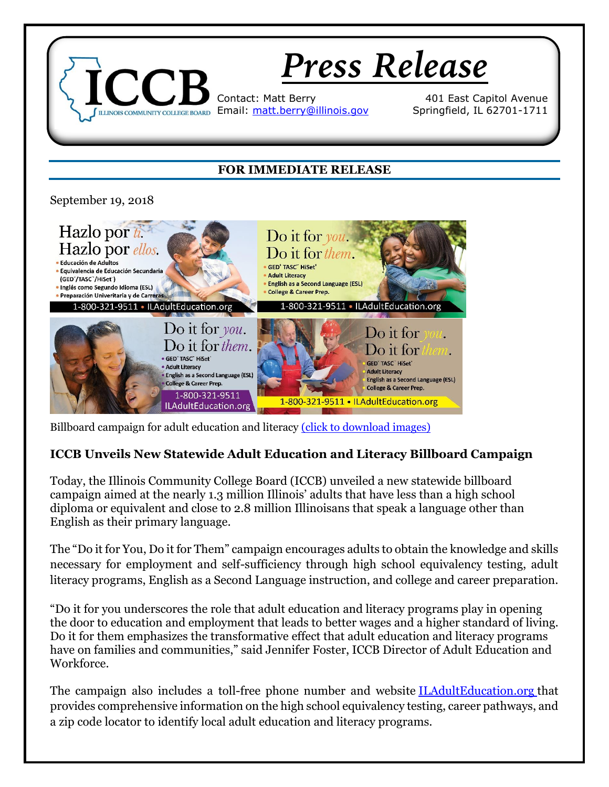

Billboard campaign for adult education and literacy [\(click to download images\)](https://www.iccb.org/adult_ed/?page_id=1287)

## **ICCB Unveils New Statewide Adult Education and Literacy Billboard Campaign**

Today, the Illinois Community College Board (ICCB) unveiled a new statewide billboard campaign aimed at the nearly 1.3 million Illinois' adults that have less than a high school diploma or equivalent and close to 2.8 million Illinoisans that speak a language other than English as their primary language.

The "Do it for You, Do it for Them" campaign encourages adults to obtain the knowledge and skills necessary for employment and self-sufficiency through high school equivalency testing, adult literacy programs, English as a Second Language instruction, and college and career preparation.

"Do it for you underscores the role that adult education and literacy programs play in opening the door to education and employment that leads to better wages and a higher standard of living. Do it for them emphasizes the transformative effect that adult education and literacy programs have on families and communities," said Jennifer Foster, ICCB Director of Adult Education and Workforce.

The campaign also includes a toll-free phone number and website [ILAdultEducation.org](http://www.iladulteducation.org/) that provides comprehensive information on the high school equivalency testing, career pathways, and a zip code locator to identify local adult education and literacy programs.